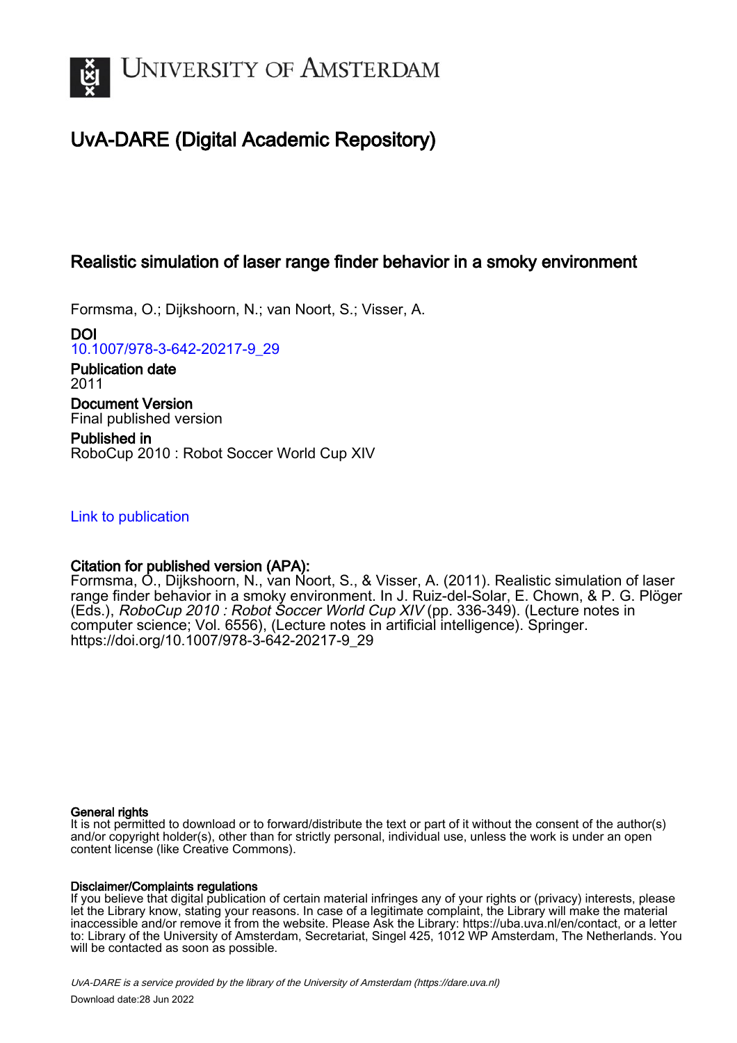

# UvA-DARE (Digital Academic Repository)

# Realistic simulation of laser range finder behavior in a smoky environment

Formsma, O.; Dijkshoorn, N.; van Noort, S.; Visser, A.

DOI [10.1007/978-3-642-20217-9\\_29](https://doi.org/10.1007/978-3-642-20217-9_29)

Publication date 2011 Document Version Final published version

Published in RoboCup 2010 : Robot Soccer World Cup XIV

# [Link to publication](https://dare.uva.nl/personal/pure/en/publications/realistic-simulation-of-laser-range-finder-behavior-in-a-smoky-environment(134cd488-edc7-459f-9e88-ef6e985a6914).html)

# Citation for published version (APA):

Formsma, O., Dijkshoorn, N., van Noort, S., & Visser, A. (2011). Realistic simulation of laser range finder behavior in a smoky environment. In J. Ruiz-del-Solar, E. Chown, & P. G. Plöger (Eds.), RoboCup 2010 : Robot Soccer World Cup XIV (pp. 336-349). (Lecture notes in computer science; Vol. 6556), (Lecture notes in artificial intelligence). Springer. [https://doi.org/10.1007/978-3-642-20217-9\\_29](https://doi.org/10.1007/978-3-642-20217-9_29)

## General rights

It is not permitted to download or to forward/distribute the text or part of it without the consent of the author(s) and/or copyright holder(s), other than for strictly personal, individual use, unless the work is under an open content license (like Creative Commons).

## Disclaimer/Complaints regulations

If you believe that digital publication of certain material infringes any of your rights or (privacy) interests, please let the Library know, stating your reasons. In case of a legitimate complaint, the Library will make the material inaccessible and/or remove it from the website. Please Ask the Library: https://uba.uva.nl/en/contact, or a letter to: Library of the University of Amsterdam, Secretariat, Singel 425, 1012 WP Amsterdam, The Netherlands. You will be contacted as soon as possible.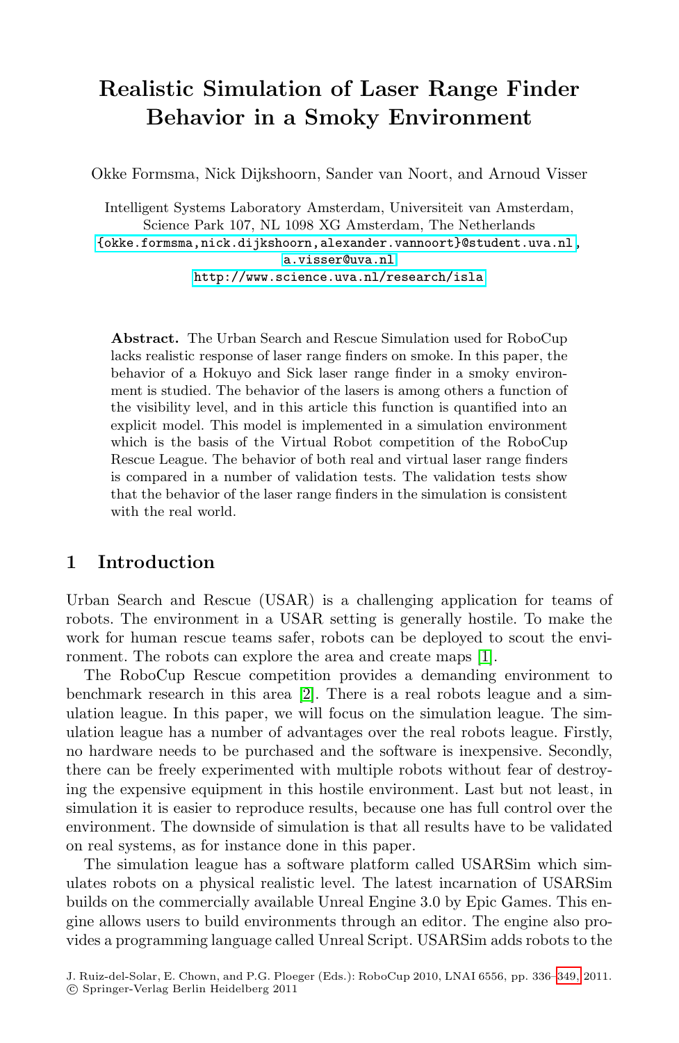# **[Realistic Simulation of Laser R]({okke.formsma,nick.dijkshoorn,alexander.vannoort}@student.uva.nl)ange Finder [Behavior](a.visser@uva.nl) [i](a.visser@uva.nl)[n](http://www.science.uva.nl/research/isla) [a](http://www.science.uva.nl/research/isla) [Smok](http://www.science.uva.nl/research/isla)y Environment**

Okke Formsma, Nick Dijkshoorn, Sander van Noort, and Arnoud Visser

Intelligent Systems Laboratory Amsterdam, Universiteit van Amsterdam, Science Park 107, NL 1098 XG Amsterdam, The Netherlands {okke.formsma,nick.dijkshoorn,alexander.vannoort}@student.uva.nl, a.visser@uva.nl http://www.science.uva.nl/research/isla

**Abstract.** The Urban Search and Rescue Simulation used for RoboCup lacks realistic response of laser range finders on smoke. In this paper, the behavior of a Hokuyo and Sick laser range finder in a smoky environment is studied. The behavior of the lasers is among others a function of the visibility level, and in this article this function is quantified into an explicit model. This model is implemented in a simulation environment which is the basis of the Virtual Robot competition of the RoboCup Rescue League. The behavior of both real and virtual laser range finders is compared in a number of validation tests. The validation tests show that the behavior of the laser range finders in the simulation is consistent with the real world.

## **1 Introdu[ct](#page-14-0)ion**

Urban Search and Rescue (USAR) is a challenging application for teams of robots. The environment in a USAR setting is generally hostile. To make the work for human rescue teams safer, robots can be deployed to scout the environment. The robots can explore the area and create maps [1].

The RoboCup Rescue competition provides a demanding environment to benchmark research in this area [2]. There is a real robots league and a simulation league. In this paper, we will focus on the simulation league. The simulation league has a number of advantages over the real robots league. Firstly, no hardware needs to be purchased and the software is inexpensive. Secondly, there can be freely experimented with multiple robots without fear of destroying the expensive equipment in this hostile environment. Last but not least, in simulation it is easier to reproduce results, because one has full control over the environment. The downside of simulation is that all [resu](#page-14-1)lts have to be validated on real systems, as for instance done in this paper.

The simulation league has a software platform called USARSim which simulates robots on a physical realistic level. The latest incarnation of USARSim builds on the commercially available Unreal Engine 3.0 by Epic Games. This engine allows users to build environments through an editor. The engine also provides a programming language called Unreal Script. USARSim adds robots to the

J. Ruiz-del-Solar, E. Chown, and P.G. Ploeger (Eds.): RoboCup 2010, LNAI 6556, pp. 336–349, 2011. -c Springer-Verlag Berlin Heidelberg 2011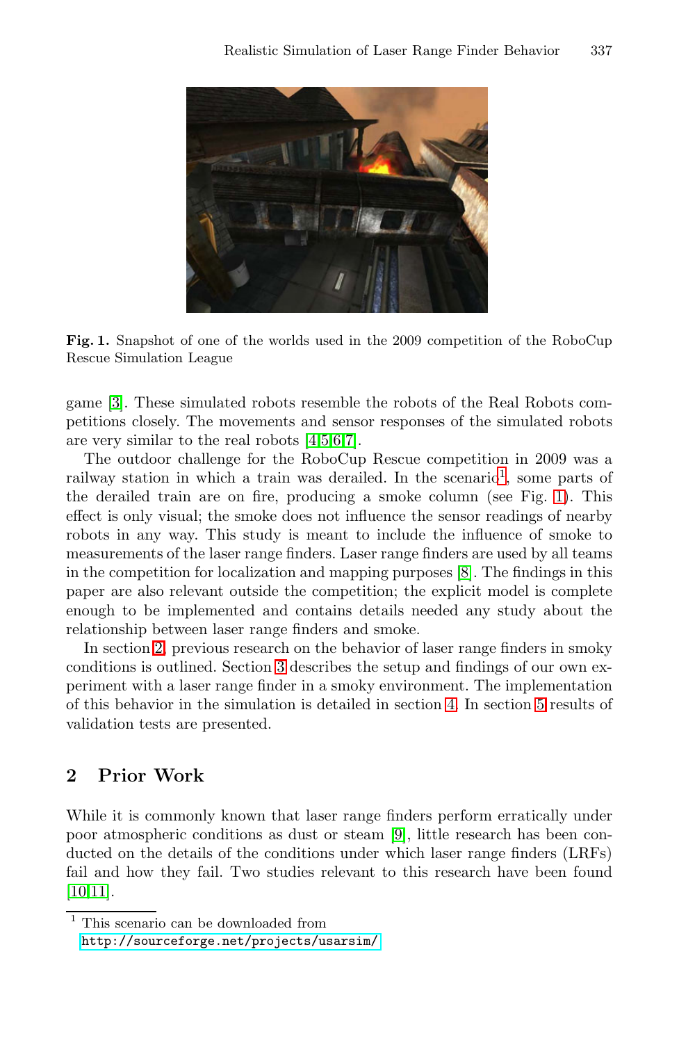<span id="page-2-1"></span>

**Fig. 1.** Snapshot of one of the worlds used in [th](#page-2-0)e 2009 [co](#page-2-1)mpetition of the RoboCup Rescue Simulation League

game [3]. These simulated robots resemble the robots of the Real Robots competitions closely. The movements and [se](#page-14-2)nsor responses of the simulated robots are very similar to the real robots [4,5,6,7].

The outdoor challenge for the RoboCup Rescue competition in 2009 was a railway station in which a train was derailed. In the scenario<sup>1</sup>, some parts of the derailed train are on fire, producing a smoke column (see Fig. 1). This effect is on[ly](#page-5-0) visual; the smoke does not influence the sensor readings of nearby robots in any way. This study is meant to include the influence of smoke to measurements of the laser range find[ers](#page-8-0). Laser ran[ge](#page-11-0) finders are used by all teams in the competition for localization and mapping purposes [8]. The findings in this paper are also relevant outside the competition; the explicit model is complete enough to be implemented and contains details needed any study about the relationship between laser range finders and smoke.

<span id="page-2-2"></span>In section 2, previous research on the behavior of laser range finders in smoky conditions is outlined. Section 3 describes the setup and findings of our own experiment with a laser range [fin](#page-14-3)der in a smoky environment. The implementation of this behavior in the simulation is detailed in section 4. In section 5 results of validation tests are presented.

## <span id="page-2-0"></span>**2 Prior Work**

While it is commonly known that laser range finders perform erratically under poor atmospheric conditions as dust or steam [9], little research has been conducted on the details of the conditions under which laser range finders (LRFs) fail and how they fail. Two studies relevant to this research have been found [10,11].

<sup>1</sup> This scenario can be downloaded from

http://sourceforge.net/projects/usarsim/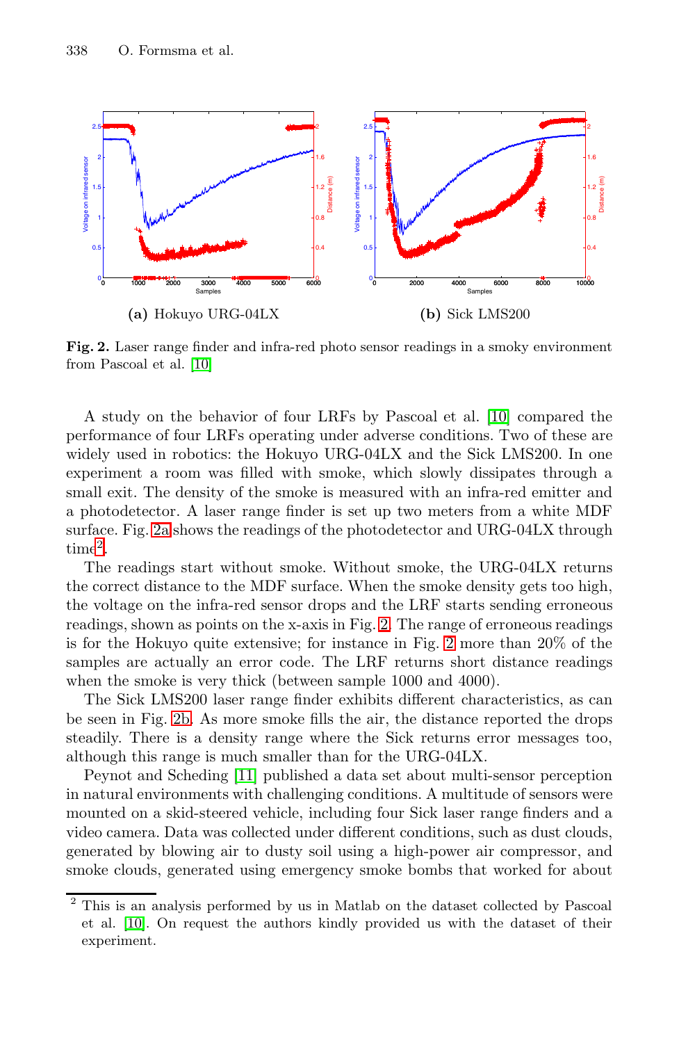<span id="page-3-0"></span>

**Fig. 2.** Laser range finder and infra-red photo sensor readings in a smoky environment from Pascoal et al. [10]

A study on the behavior of four LRFs by Pascoal et al. [10] compared the performance of four LRFs operating under adverse conditions. Two of these are widely used in robotics: the Hokuyo URG-04LX and the Sick LMS200. In one experiment a room was [fille](#page-3-0)d with smoke, which slowly dissipates through a small exit. The density of the smok[e i](#page-3-0)s measured with an infra-red emitter and a photodetector. A laser range finder is set up two meters from a white MDF surface. Fig. 2a shows the readings of the photodetector and URG-04LX through time<sup>2</sup>.

The readings start without smoke. Without smoke, the URG-04LX returns the correct distance to the MDF surface. When the smoke density gets too high, the voltage on the infra-red sensor drops and the LRF starts sending erroneous readi[ngs,](#page-14-5) shown as points on the x-axis in Fig. 2. The range of erroneous readings is for the Hokuyo quite extensive; for instance in Fig. 2 more than 20% of the samples are actually an error code. The LRF returns short distance readings when the smoke is very thick (between sample 1000 and 4000).

The Sick LMS200 laser range finder exhibits different characteristics, as can be seen in Fig. 2b. As more smoke fills the air, the distance reported the drops steadily. There is a density range where the Sick returns error messages too, although this range is much smaller than for the URG-04LX.

Peynot and Scheding [11] published a data set about multi-sensor perception in natural environments with challenging conditions. A multitude of sensors were mounted on a skid-steered vehicle, including four Sick laser range finders and a video camera. Data was collected under different conditions, such as dust clouds, generated by blowing air to dusty soil using a high-power air compressor, and smoke clouds, generated using emergency smoke bombs that worked for about

<sup>2</sup> This is an analysis performed by us in Matlab on the dataset collected by Pascoal et al. [10]. On request the authors kindly provided us with the dataset of their experiment.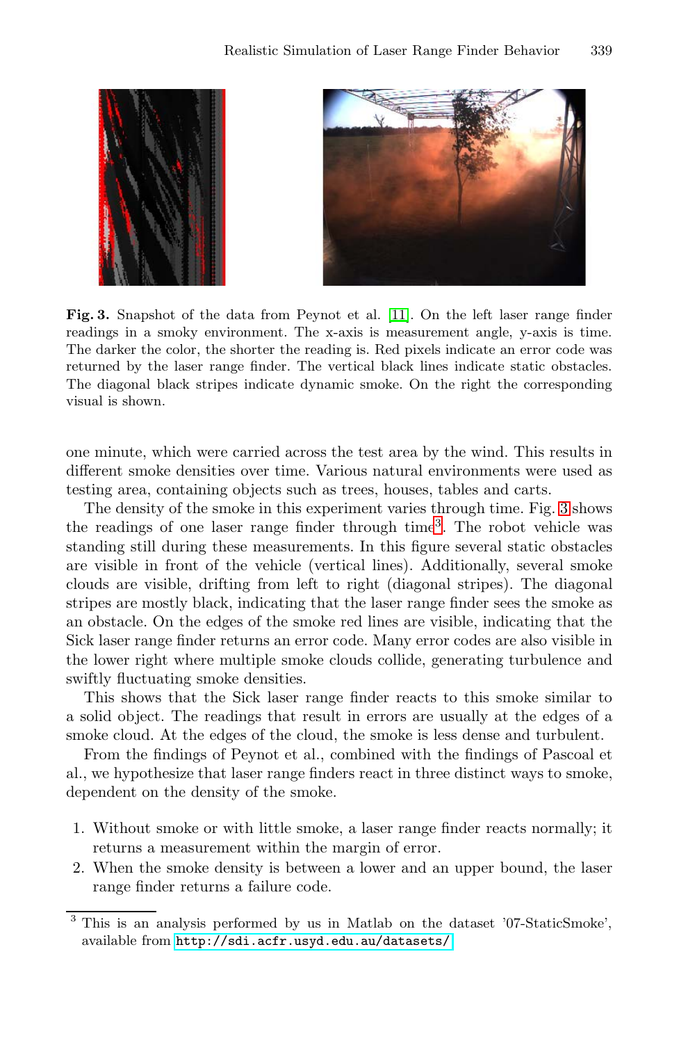<span id="page-4-0"></span>

**Fig. 3.** Snapshot of the data from Peynot et al. [11]. On the left laser range finder readings in a smoky environment. The x-axis is measurement angle, y-axis is time. The darker the color, the shorter the reading is. Red pixels indicate an error code was returned by the laser range finder. The vertical black li[ne](#page-4-0)s indicate static obstacles. The diagonal black stripes indicate [dy](#page-4-1)namic smoke. On the right the corresponding visual is shown.

one minute, which were carried across the test area by the wind. This results in different smoke densities over time. Various natural environments were used as testing area, containing objects such as trees, houses, tables and carts.

The density of the smoke in this experiment varies through time. Fig. 3 shows the readings of one laser range finder through time<sup>3</sup>. The robot vehicle was standing still during these measurements. In this figure several static obstacles are visible in front of the vehicle (vertical lines). Additionally, several smoke clouds are visible, drifting from left to right (diagonal stripes). The diagonal stripes are mostly black, indicating that the laser range finder sees the smoke as an obstacle. On the edges of the smoke red lines are visible, indicating that the Sick laser range finder returns an error code. Many error codes are also visible in the lower right where multiple smoke clouds collide, generating turbulence and swiftly fluctuating smoke densities.

This shows that the Sick laser range finder reacts to this smoke similar to a solid object. The readings that result in errors are usually at the edges of a smoke cloud. At the edges of the cloud, the smoke is less dense and turbulent.

<span id="page-4-1"></span>From the findings of Peynot et al., combined with the findings of Pascoal et al., we hypothesize that laser range finders react in three distinct ways to smoke, [dependent on the density of the smok](http://sdi.acfr.usyd.edu.au/datasets/)e.

- 1. Without smoke or with little smoke, a laser range finder reacts normally; it returns a measurement within the margin of error.
- 2. When the smoke density is between a lower and an upper bound, the laser range finder returns a failure code.

<sup>3</sup> This is an analysis performed by us in Matlab on the dataset '07-StaticSmoke', available from http://sdi.acfr.usyd.edu.au/datasets/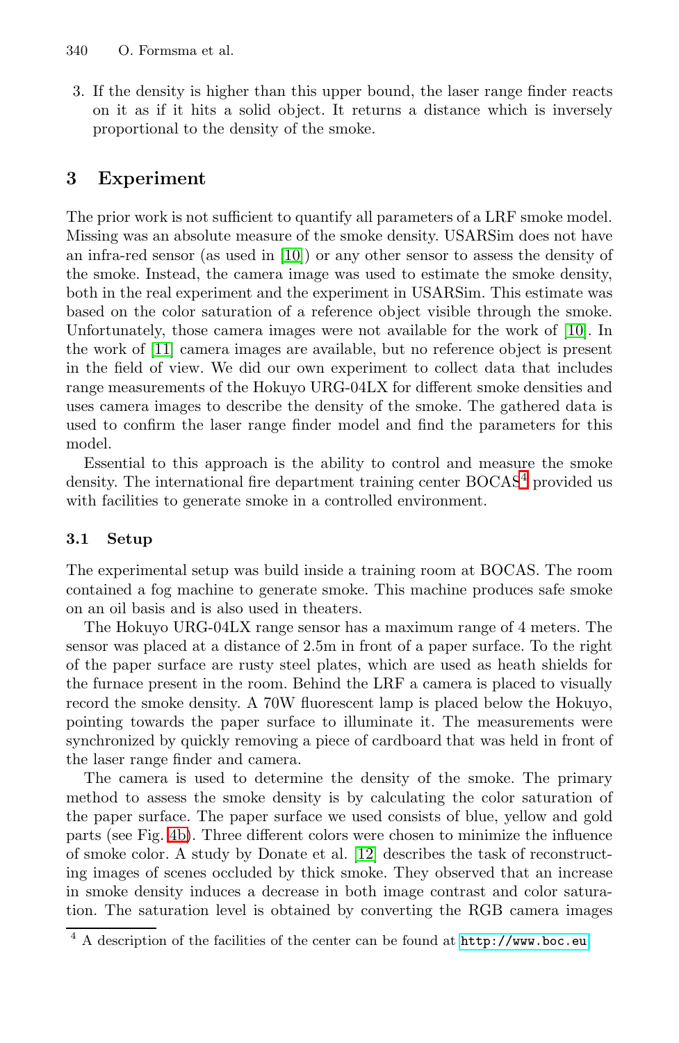<span id="page-5-0"></span>3. If the density is higher than this upper bound, the laser range finder reacts on it as [if](#page-14-4) it hits a solid object. It returns a distance which is inversely proportional to the density of the smoke.

## **3 Experiment**

The prior work is not sufficient to quantify all parameters of a LRF smoke model. Missing was an absolute measure of the smoke density. USARSim does not have an infra-red sensor (as used in [10]) or any other sensor to assess the density of the smoke. Instead, the camera image was used to estimate the smoke density, both in the real experiment and the experiment in USARSim. This estimate was based on the color saturation of a reference object visible through the smoke. Unfortunately, those camera images were not [av](#page-5-1)ailable for the work of [10]. In the work of [11] camera images are available, but no reference object is present in the field of view. We did our own experiment to collect data that includes range measurements of the Hokuyo URG-04LX for different smoke densities and uses camera images to describe the density of the smoke. The gathered data is used to confirm the laser range finder model and find the parameters for this model.

<span id="page-5-2"></span>Essential to this approach is the ability to control and measure the smoke density. The international fire department training center BOCAS<sup>4</sup> provided us with facilities to generate smoke in a controlled environment.

### **3.1 Setup**

The experimental setup was build inside a training room at BOCAS. The room contained a fog machine to generate smoke. This machine produces safe smoke on an oil basis and is also used in theaters.

The Hokuyo URG-04LX range sensor has a maximum range of 4 meters. The sensor was placed at a distance of 2.5m in front of a paper surface. To the right of the paper surface are rusty steel plates, which are used as heath shields for the furnace present in the room. Behind the LRF a camera is placed to visually record the smoke densi[ty.](#page-14-6) A 70W fluorescent lamp is placed below the Hokuyo, pointing towards the paper surface to illuminate it. The measurements were synchronized by quickly removing a piece of cardboard that was held in front of the laser range finder and camera.

<span id="page-5-1"></span>The camera is used to determine the density of the smoke. The primary method to assess the smoke density [is by calculating th](http://www.boc.eu)e color saturation of the paper surface. The paper surface we used consists of blue, yellow and gold parts (see Fig. 4b). Three different colors were chosen to minimize the influence of smoke color. A study by Donate et al. [12] describes the task of reconstructing images of scenes occluded by thick smoke. They observed that an increase in smoke density induces a decrease in both image contrast and color saturation. The saturation level is obtained by converting the RGB camera images

 $\frac{4}{4}$  A description of the facilities of the center can be found at http://www.boc.eu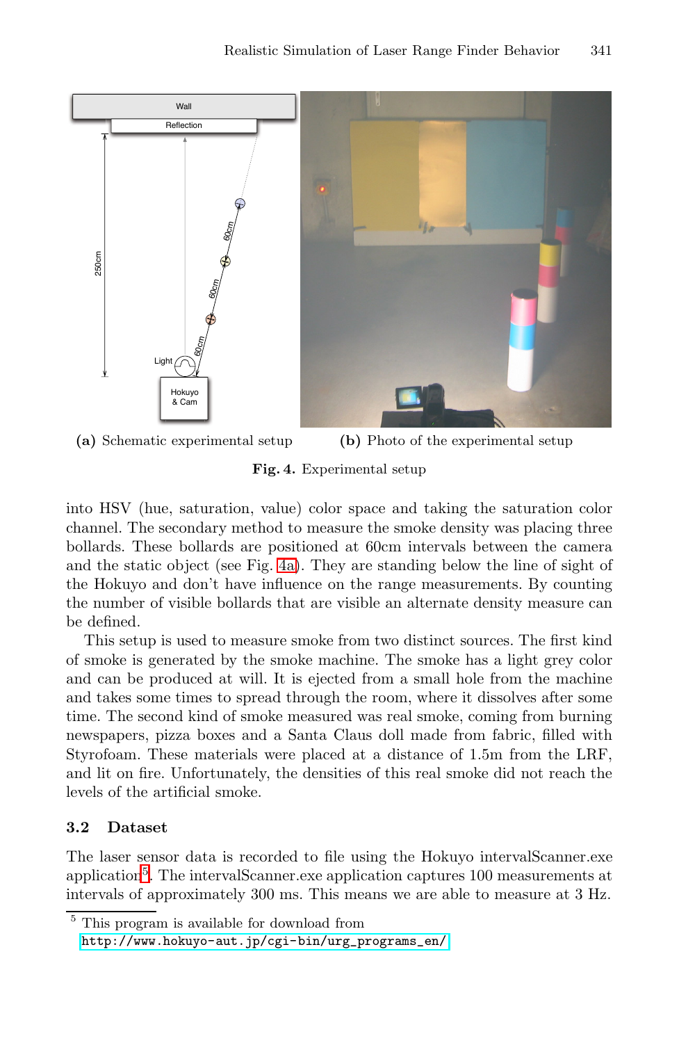

**Fig. 4.** Experimental setup

into HSV (hue, saturation, value) color space and taking the saturation color channel. The secondary method to measure the smoke density was placing three bollards. These bollards are positioned at 60cm intervals between the camera and the static object (see Fig. 4a). They are standing below the line of sight of the Hokuyo and don't have influence on the range measurements. By counting the number of visible bollards that are visible an alternate density measure can be defined.

This setup is used to measure smoke from two distinct sources. The first kind of smoke is generated by the smoke machine. The smoke has a light grey color and can be produced at will. It is ejected from a small hole from the machine and takes some times to spread through the room, where it dissolves after some time. The second kind of smoke measured was real smoke, coming from burning newspapers, pizza boxes and a Santa Claus doll made from fabric, filled with Styrofoam. These materials were placed at a distance of 1.5m from the LRF, and lit on fire. Unfortunately, the densities of this real smoke did not reach the [levels of the artificial smoke.](http://www.hokuyo-aut.jp/cgi-bin/urg_programs_en/)

#### **3.2 Dataset**

The laser sensor data is recorded to file using the Hokuyo intervalScanner.exe application<sup>5</sup>. The interval Scanner.exe application captures 100 measurements at intervals of approximately 300 ms. This means we are able to measure at 3 Hz.

<sup>5</sup> This program is available for download from

http://www.hokuyo-aut.jp/cgi-bin/urg\_programs\_en/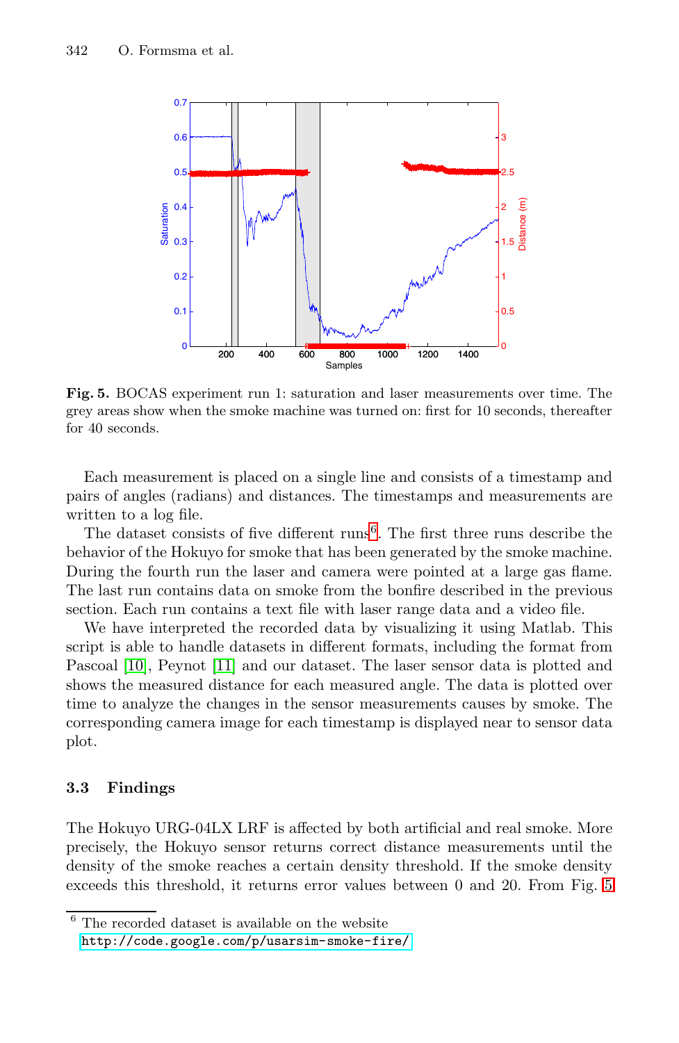

**Fig. 5.** BOCAS experimen[t](#page-7-0) run 1: saturation and laser measurements over time. The grey areas show when the smoke machine was turned on: first for 10 seconds, thereafter for 40 seconds.

Each measurement is placed on a single line and consists of a timestamp and pairs of angles (radians) and distances. The timestamps and measurements are wr[itte](#page-14-5)n to a log file.

The dataset consists of five different runs<sup>6</sup>. The first three runs describe the behavior of the Hokuyo for smoke that has been generated by the smoke machine. During the fourth run the laser and camera were pointed at a large gas flame. The last run contains data on smoke from the bonfire described in the previous section. Each run contains a text file with laser range data and a video file.

<span id="page-7-1"></span>We have interpreted the recorded data by visualizing it using Matlab. This script is able to handle datasets in different formats, including the format from Pascoal [10], Peynot [11] and our dataset. The laser sensor data is plotted and shows the measured distance for each measured angle. The data is plotted over time to analyze the changes in the sensor measurements causes by smoke. The corresponding camera image for each timestamp is displayed near to sensor data plot.

#### <span id="page-7-0"></span>**[3.3 Findings](http://code.google.com/p/usarsim-smoke-fire/)**

The Hokuyo URG-04LX LRF is affected by both artificial and real smoke. More precisely, the Hokuyo sensor returns correct distance measurements until the density of the smoke reaches a certain density threshold. If the smoke density exceeds this threshold, it returns error values between 0 and 20. From Fig. 5

The recorded dataset is available on the website http://code.google.com/p/usarsim-smoke-fire/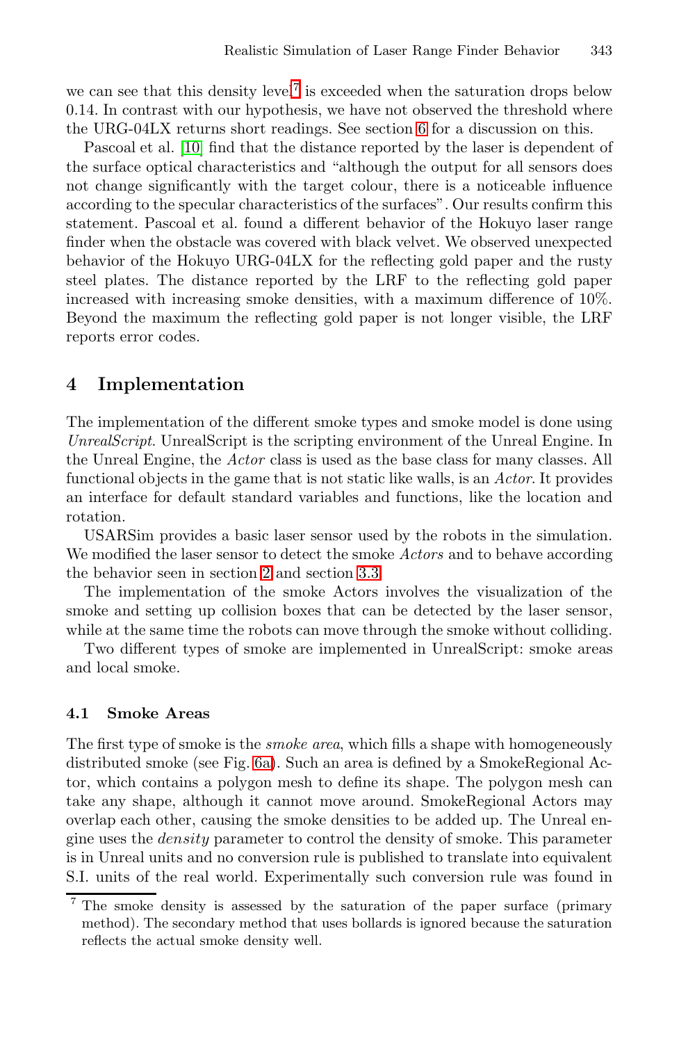we can see that this density level<sup>7</sup> is exceeded when the saturation drops below 0.14. In contrast with our hypothesis, we have not observed the threshold where the URG-04LX returns short readings. See section 6 for a discussion on this.

<span id="page-8-0"></span>Pascoal et al. [10] find that the distance reported by the laser is dependent of the surface optical characteristics and "although the output for all sensors does not change significantly with the target colour, there is a noticeable influence according to the specular characteristics of the surfaces". Our results confirm this statement. Pascoal et al. found a different behavior of the Hokuyo laser range finder when the obstacle was covered with black velvet. We observed unexpected behavior of the Hokuyo URG-04LX for the reflecting gold paper and the rusty steel plates. The distance reported by the LRF to the reflecting gold paper increased with increasing smoke densities, with a maximum difference of 10%. Beyond the maximum the reflecting gold paper is not longer visible, the LRF reports error codes.

## **4 Implementation**

The impl[em](#page-2-2)entation of [the](#page-7-1) different smoke types and smoke model is done using *UnrealScript*. UnrealScript is the scripting environment of the Unreal Engine. In the Unreal Engine, the *Actor* class is used as the base class for many classes. All functional objects in the game that is not static like walls, is an *Actor*. It provides an interface for default standard variables and functions, like the location and rotation.

<span id="page-8-1"></span>USARSim provides a basic laser sensor used by the robots in the simulation. We modified the laser sensor to detect the smoke *Actors* and to behave according the behavior seen in section 2 and section 3.3.

The implementation of the smoke Actors involves the visualization of the smoke a[nd](#page-9-0) setting up collision boxes that can be detected by the laser sensor, while at the same time the robots can move through the smoke without colliding.

Two different types of smoke are implemented in UnrealScript: smoke areas and local smoke.

#### **4.1 Smoke Areas**

The first type of smoke is the *smoke area*, which fills a shape with homogeneously distributed smoke (see Fig. 6a). Such an area is defined by a SmokeRegional Actor, which contains a polygon mesh to define its shape. The polygon mesh can take any shape, although it cannot move around. SmokeRegional Actors may overlap each other, causing the smoke densities to be added up. The Unreal engine uses the *density* parameter to control the density of smoke. This parameter is in Unreal units and no conversion rule is published to translate into equivalent S.I. units of the real world. Experimentally such conversion rule was found in

<sup>7</sup> The smoke density is assessed by the saturation of the paper surface (primary method). The secondary method that uses bollards is ignored because the saturation reflects the actual smoke density well.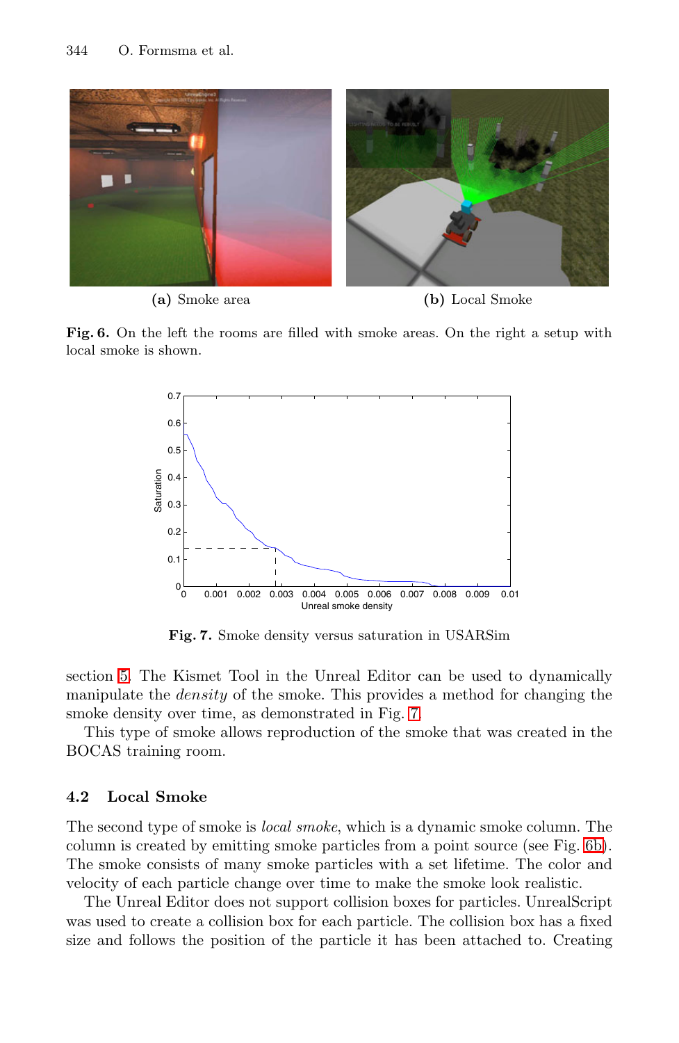<span id="page-9-1"></span><span id="page-9-0"></span>

<span id="page-9-2"></span>**Fig. 6.** On the left the rooms are filled with smoke areas. On the right a setup with local smoke is shown.



**Fig. 7.** Smoke density versus saturation in USARSim

section 5. The Kismet Tool in the Unreal Editor can be used to dynamically manipulate the *density* of the smoke. This provides a [meth](#page-9-1)od for changing the smoke density over time, as demonstrated in Fig. 7.

This type of smoke allows reproduction of the smoke that was created in the BOCAS training room.

### **4.2 Local Smoke**

The second type of smoke is *local smoke*, which is a dynamic smoke column. The column is created by emitting smoke particles from a point source (see Fig. 6b). The smoke consists of many smoke particles with a set lifetime. The color and velocity of each particle change over time to make the smoke look realistic.

The Unreal Editor does not support collision boxes for particles. UnrealScript was used to create a collision box for each particle. The collision box has a fixed size and follows the position of the particle it has been attached to. Creating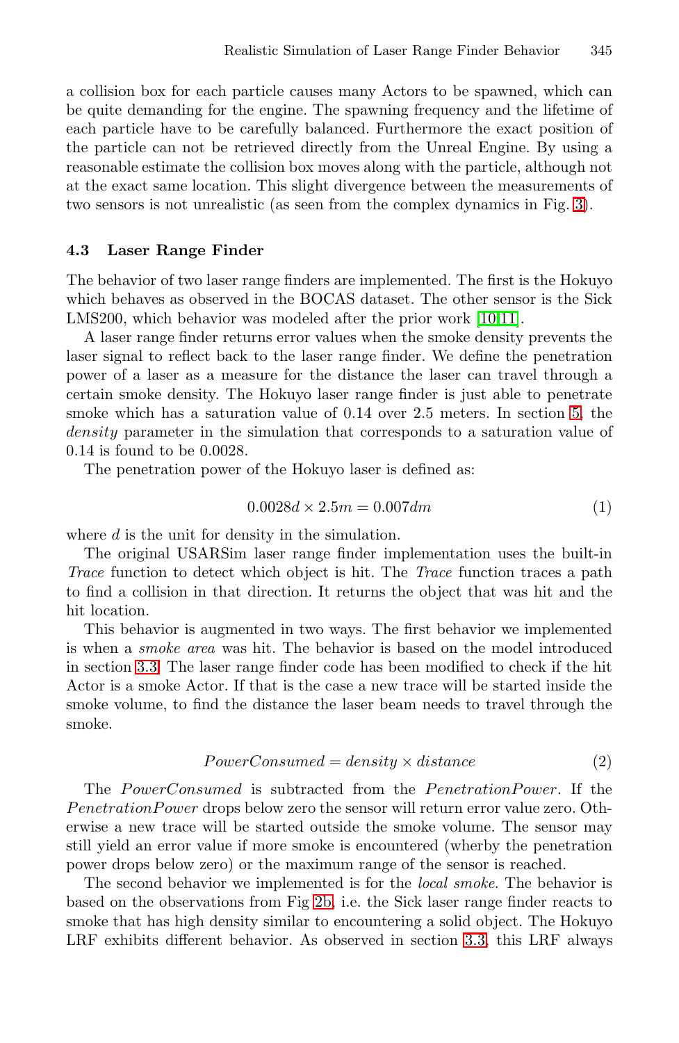a collision box for each particle causes many Actors to be spawned, which can be quite demanding for the engine. The spawning frequency and the lifetime of each particle have to be carefully balanced. Furthermore the exact position of the particle can not be retrieved directly from the Unreal Engine. By using a reasonable estimate the collision box mov[es a](#page-14-4)[lon](#page-14-5)g with the particle, although not at the exact same location. This slight divergence between the measurements of two sensors is not unrealistic (as seen from the complex dynamics in Fig. 3).

#### **4.3 Laser Range Finder**

The behavior of two laser range finders are implemente[d.](#page-11-0) The first is the Hokuyo which behaves as observed in the BOCAS dataset. The other sensor is the Sick LMS200, which behavior was modeled after the prior work [10,11].

A laser range finder returns error values when the smoke density prevents the laser signal to reflect back to the laser range finder. We define the penetration power of a laser as a measure for the distance the laser can travel through a certain smoke density. The Hokuyo laser range finder is just able to penetrate smoke which has a saturation value of 0.14 over 2.5 meters. In section 5, the *density* parameter in the simulation that corresponds to a saturation value of 0.14 is found to be 0.0028.

The penetration power of the Hokuyo laser is defined as:

$$
0.0028d \times 2.5m = 0.007dm \tag{1}
$$

where *d* is the unit for density in the simulation.

The original USARSim laser range finder implementation uses the built-in *Trace* function to detect which object is hit. The *Trace* function traces a path to find a collision in that direction. It returns the object that was hit and the hit location.

This behavior is augmented in two ways. The first behavior we implemented is when a *smoke area* was hit. The behavior is based on the model introduced in section 3.3. The laser range finder code has been modified to check if the hit Actor is a smoke Actor. If that is the case a new trace will be started inside the smoke volume, to find the distance the laser beam needs to travel through the smoke.

#### $PowerConsumed = density \times distance$  (2)

The *PowerConsumed* is subtract[ed f](#page-7-1)rom the *PenetrationPower*. If the *P enetrationP ower* drops below zero the sensor will return error value zero. Otherwise a new trace will be started outside the smoke volume. The sensor may still yield an error value if more smoke is encountered (wherby the penetration power drops below zero) or the maximum range of the sensor is reached.

The second behavior we implemented is for the *local smoke*. The behavior is based on the observations from Fig 2b, i.e. the Sick laser range finder reacts to smoke that has high density similar to encountering a solid object. The Hokuyo LRF exhibits different behavior. As observed in section 3.3, this LRF always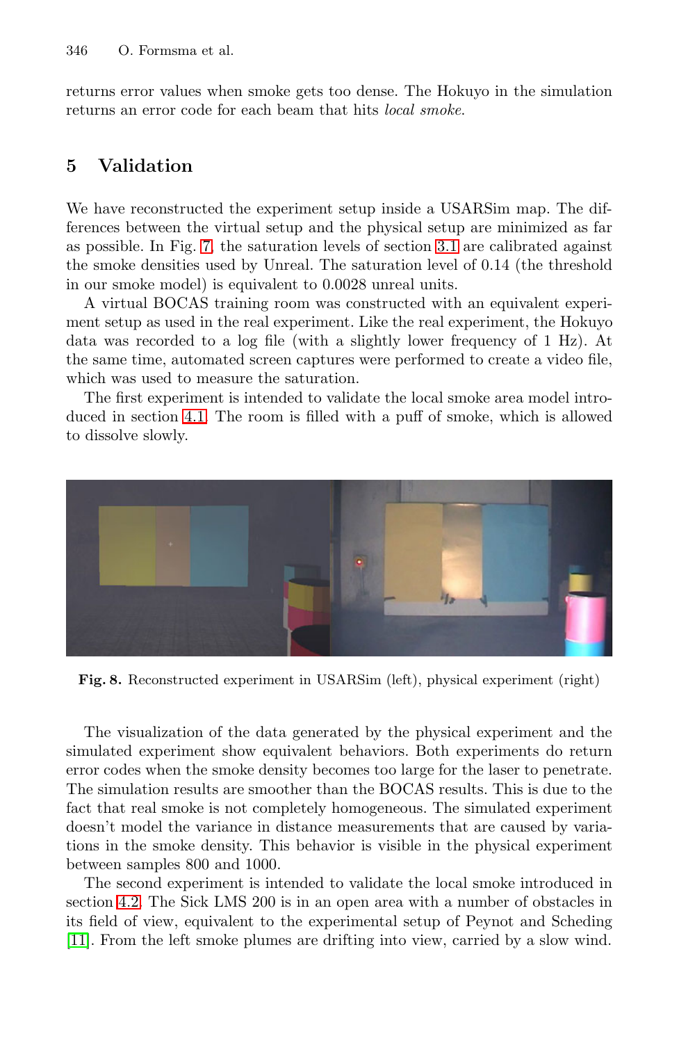<span id="page-11-0"></span>[ret](#page-9-2)urns error values when smoke g[ets](#page-5-2) too dense. The Hokuyo in the simulation returns an error code for each beam that hits *local smoke*.

## **5 Validation**

We have reconstructed the experiment setup inside a USARSim map. The differences between the virtual setup and the physical setup are minimized as far as possible. In Fig. 7, the saturation levels of section 3.1 are calibrated against [th](#page-8-1)e smoke densities used by Unreal. The saturation level of 0.14 (the threshold in our smoke model) is equivalent to 0.0028 unreal units.

A virtual BOCAS training room was constructed with an equivalent experiment setup as used in the real experiment. Like the real experiment, the Hokuyo data was recorded to a log file (with a slightly lower frequency of 1 Hz). At the same time, automated screen captures were performed to create a video file, which was used to measure the saturation.

The first experiment is intended to validate the local smoke area model introduced in section 4.1. The room is filled with a puff of smoke, which is allowed to dissolve slowly.



**Fig. 8.** Reconstructed experiment in USARSim (left), physical experiment (right)

The visualization of the data generated by the physical experiment and the simulated experiment show equivalent behaviors. Both experiments do return error codes when the smoke density becomes too large for the laser to penetrate. The simulation results are smoother than the BOCAS results. This is due to the fact that real smoke is not completely homogeneous. The simulated experiment doesn't model the variance in distance measurements that are caused by variations in the smoke density. This behavior is visible in the physical experiment between samples 800 and 1000.

The second experiment is intended to validate the local smoke introduced in section 4.2. The Sick LMS 200 is in an open area with a number of obstacles in its field of view, equivalent to the experimental setup of Peynot and Scheding [11]. From the left smoke plumes are drifting into view, carried by a slow wind.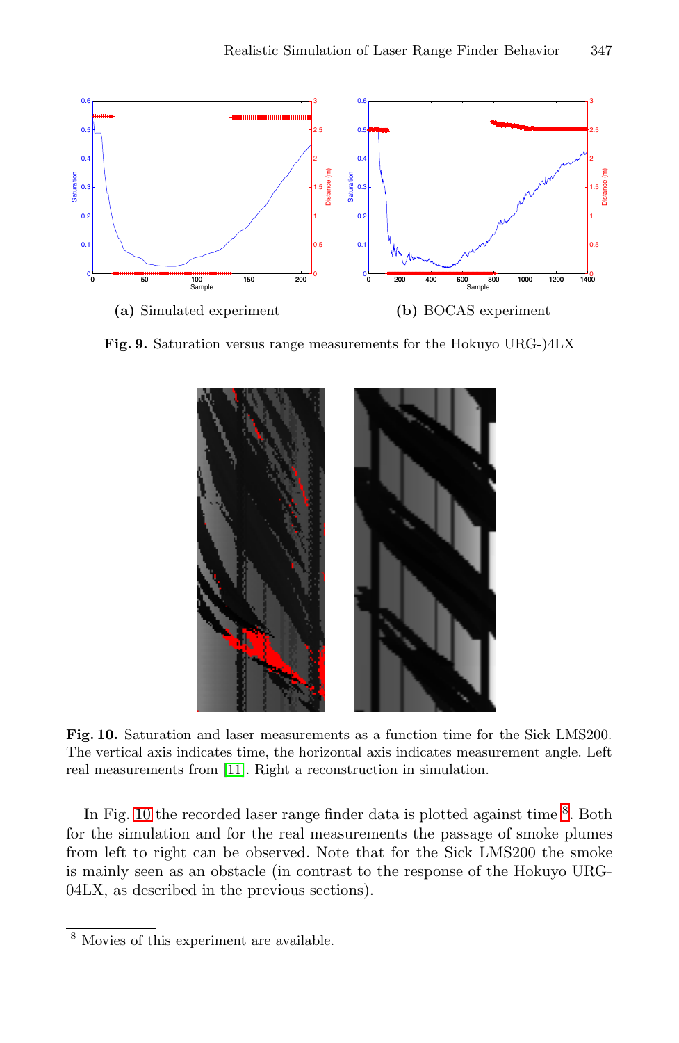<span id="page-12-0"></span>

**Fig. 9.** Saturation versus range measurements for the Hokuyo URG-)4LX



**Fig. 10.** Saturation and laser measurements as a function time for the Sick LMS200. The vertical axis indicates time, the horizontal axis indicates measurement angle. Left real measurements from [11]. Right a reconstruction in simulation.

In Fig. 10 the recorded laser range finder data is plotted against time  $8$ . Both for the simulation and for the real measurements the passage of smoke plumes from left to right can be observed. Note that for the Sick LMS200 the smoke is mainly seen as an obstacle (in contrast to the response of the Hokuyo URG-04LX, as described in the previous sections).

<sup>8</sup> Movies of this experiment are available.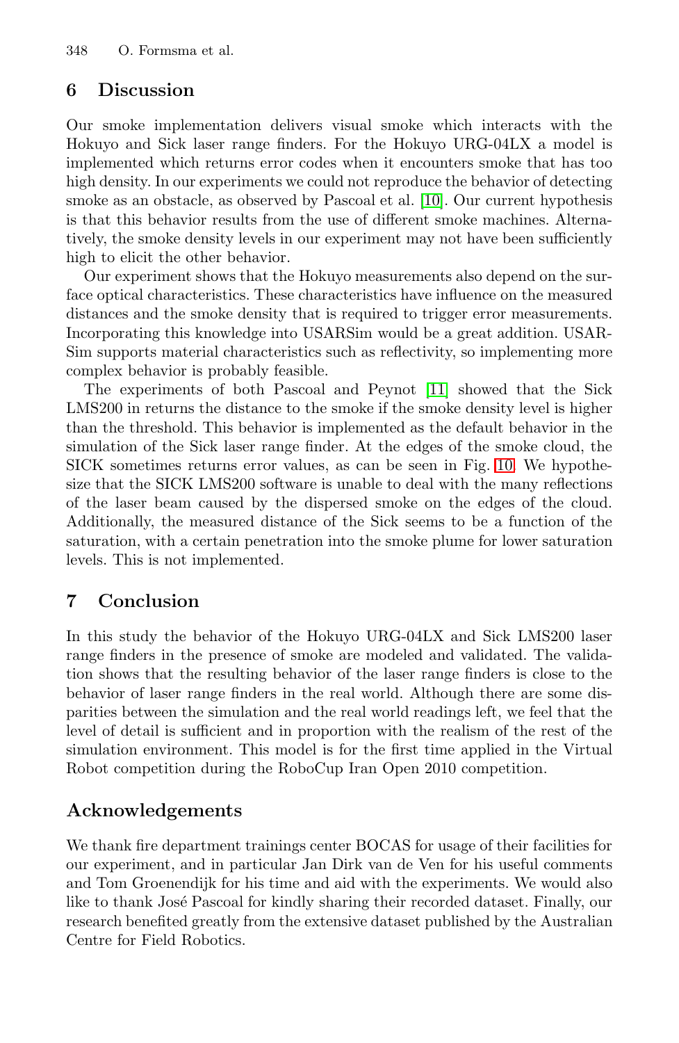## **6 Discussion**

Our smoke implementation delivers visual smoke which interacts with the Hokuyo and Sick laser range finders. For the Hokuyo URG-04LX a model is implemented which returns error codes when it encounters smoke that has too high density. In our experiments we could not reproduce the behavior of detecting smoke as an obstacle, as observed by Pascoal et al. [10]. Our current hypothesis is that this behavior results from the use of different smoke machines. Alternatively, the smoke density levels in [our](#page-14-5) experiment may not have been sufficiently high to elicit the other behavior.

Our experiment shows that the Hokuyo measurements also depend on the surface optical characteristics. These characteristics have influence on the measured distances and the smoke density that is req[uire](#page-12-0)d to trigger error measurements. Incorporating this knowledge into USARSim would be a great addition. USAR-Sim supports material characteristics such as reflectivity, so implementing more complex behavior is probably feasible.

The experiments of both Pascoal and Peynot [11] showed that the Sick LMS200 in returns the distance to the smoke if the smoke density level is higher than the threshold. This behavior is implemented as the default behavior in the simulation of the Sick laser range finder. At the edges of the smoke cloud, the SICK sometimes returns error values, as can be seen in Fig. 10. We hypothesize that the SICK LMS200 software is unable to deal with the many reflections of the laser beam caused by the dispersed smoke on the edges of the cloud. Additionally, the measured distance of the Sick seems to be a function of the saturation, with a certain penetration into the smoke plume for lower saturation levels. This is not implemented.

## **7 Conclusion**

In this study the behavior of the Hokuyo URG-04LX and Sick LMS200 laser range finders in the presence of smoke are modeled and validated. The validation shows that the resulting behavior of the laser range finders is close to the behavior of laser range finders in the real world. Although there are some disparities between the simulation and the real world readings left, we feel that the level of detail is sufficient and in proportion with the realism of the rest of the simulation environment. This model is for the first time applied in the Virtual Robot competition during the RoboCup Iran Open 2010 competition.

#### **Acknowledgements**

We thank fire department trainings center BOCAS for usage of their facilities for our experiment, and in particular Jan Dirk van de Ven for his useful comments and Tom Groenendijk for his time and aid with the experiments. We would also like to thank José Pascoal for kindly sharing their recorded dataset. Finally, our research benefited greatly from the extensive dataset published by the Australian Centre for Field Robotics.